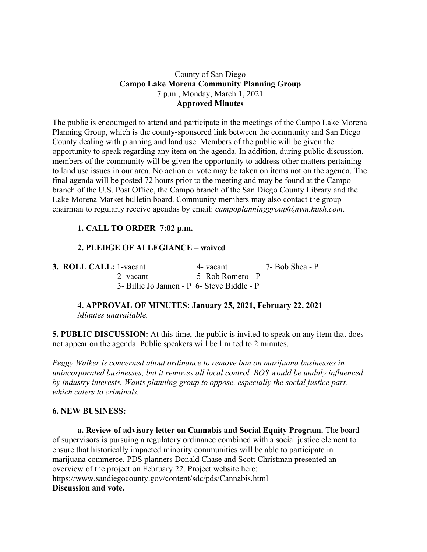### County of San Diego **Campo Lake Morena Community Planning Group** 7 p.m., Monday, March 1, 2021 **Approved Minutes**

The public is encouraged to attend and participate in the meetings of the Campo Lake Morena Planning Group, which is the county-sponsored link between the community and San Diego County dealing with planning and land use. Members of the public will be given the opportunity to speak regarding any item on the agenda. In addition, during public discussion, members of the community will be given the opportunity to address other matters pertaining to land use issues in our area. No action or vote may be taken on items not on the agenda. The final agenda will be posted 72 hours prior to the meeting and may be found at the Campo branch of the U.S. Post Office, the Campo branch of the San Diego County Library and the Lake Morena Market bulletin board. Community members may also contact the group chairman to regularly receive agendas by email: *campoplanninggroup@nym.hush.com*.

# **1. CALL TO ORDER 7:02 p.m.**

## **2. PLEDGE OF ALLEGIANCE – waived**

| 3. ROLL CALL: 1-vacant                      | 4- vacant         | 7- Bob Shea - P |
|---------------------------------------------|-------------------|-----------------|
| 2- vacant                                   | 5- Rob Romero - P |                 |
| 3- Billie Jo Jannen - P 6- Steve Biddle - P |                   |                 |

## **4. APPROVAL OF MINUTES: January 25, 2021, February 22, 2021** *Minutes unavailable.*

**5. PUBLIC DISCUSSION:** At this time, the public is invited to speak on any item that does not appear on the agenda. Public speakers will be limited to 2 minutes.

*Peggy Walker is concerned about ordinance to remove ban on marijuana businesses in unincorporated businesses, but it removes all local control. BOS would be unduly influenced by industry interests. Wants planning group to oppose, especially the social justice part, which caters to criminals.*

#### **6. NEW BUSINESS:**

**a. Review of advisory letter on Cannabis and Social Equity Program.** The board of supervisors is pursuing a regulatory ordinance combined with a social justice element to ensure that historically impacted minority communities will be able to participate in marijuana commerce. PDS planners Donald Chase and Scott Christman presented an overview of the project on February 22. Project website here: https://www.sandiegocounty.gov/content/sdc/pds/Cannabis.html **Discussion and vote.**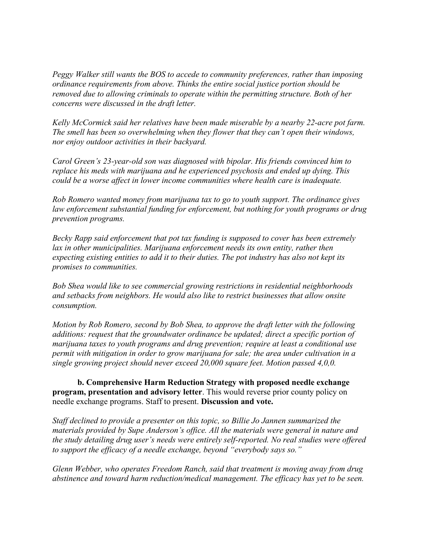*Peggy Walker still wants the BOS to accede to community preferences, rather than imposing ordinance requirements from above. Thinks the entire social justice portion should be removed due to allowing criminals to operate within the permitting structure. Both of her concerns were discussed in the draft letter.*

*Kelly McCormick said her relatives have been made miserable by a nearby 22-acre pot farm. The smell has been so overwhelming when they flower that they can't open their windows, nor enjoy outdoor activities in their backyard.*

*Carol Green's 23-year-old son was diagnosed with bipolar. His friends convinced him to replace his meds with marijuana and he experienced psychosis and ended up dying. This could be a worse affect in lower income communities where health care is inadequate.*

*Rob Romero wanted money from marijuana tax to go to youth support. The ordinance gives law enforcement substantial funding for enforcement, but nothing for youth programs or drug prevention programs.*

*Becky Rapp said enforcement that pot tax funding is supposed to cover has been extremely lax in other municipalities. Marijuana enforcement needs its own entity, rather then expecting existing entities to add it to their duties. The pot industry has also not kept its promises to communities.*

*Bob Shea would like to see commercial growing restrictions in residential neighborhoods and setbacks from neighbors. He would also like to restrict businesses that allow onsite consumption.*

*Motion by Rob Romero, second by Bob Shea, to approve the draft letter with the following additions: request that the groundwater ordinance be updated; direct a specific portion of marijuana taxes to youth programs and drug prevention; require at least a conditional use permit with mitigation in order to grow marijuana for sale; the area under cultivation in a single growing project should never exceed 20,000 square feet. Motion passed 4,0,0.*

**b. Comprehensive Harm Reduction Strategy with proposed needle exchange program, presentation and advisory letter**. This would reverse prior county policy on needle exchange programs. Staff to present. **Discussion and vote.**

*Staff declined to provide a presenter on this topic, so Billie Jo Jannen summarized the materials provided by Supe Anderson's office. All the materials were general in nature and the study detailing drug user's needs were entirely self-reported. No real studies were offered to support the efficacy of a needle exchange, beyond "everybody says so."*

*Glenn Webber, who operates Freedom Ranch, said that treatment is moving away from drug abstinence and toward harm reduction/medical management. The efficacy has yet to be seen.*